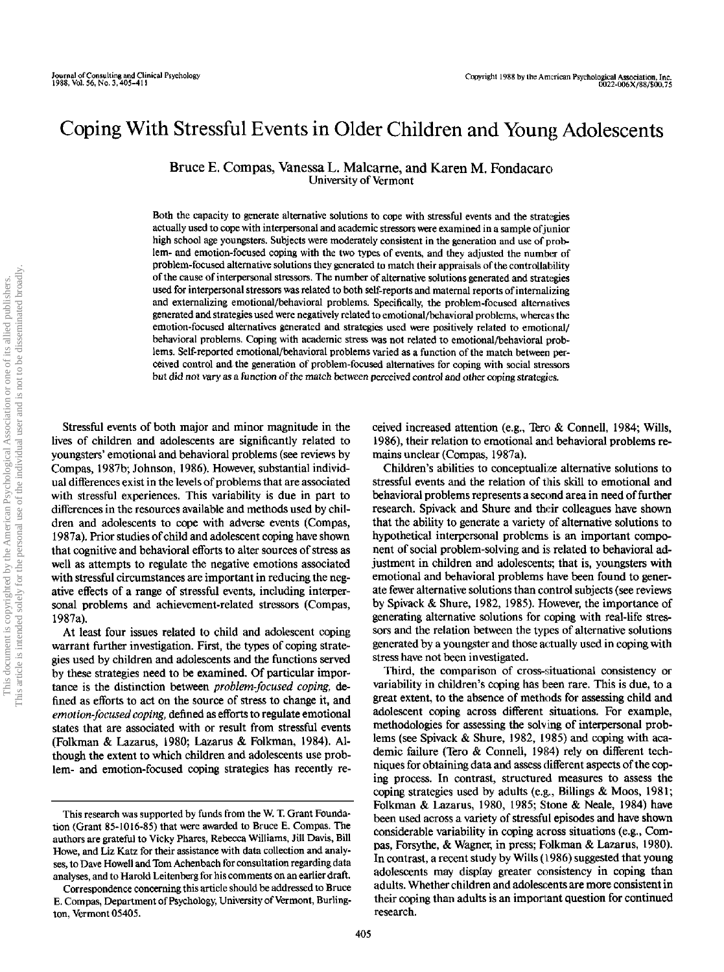# Coping With Stressful Events in Older Children and Young Adolescents

Bruce E. Compas, Vanessa L. Malcarne, and Karen M. Fondacaro

University of Vermont

Both the capacity to generate alternative solutions to cope with stressful events and the strategies actually used to cope with interpersonal and academic stressors were examined in a sample of junior high school age youngsters. Subjects were moderately consistent in the generation and use of problem- and emotion-focused coping with the two types of events, and they adjusted the number of problem-focused alternative solutions they generated to match their appraisals of the controllability of the cause of interpersonal stressors. The number of alternative solutions generated and strategies used for interpersonal stressors was related to both self-reports and maternal reports of internalizing and externalizing emotional/behavioral problems. Specifically, the problem-focused alternatives generated and strategies used were negatively related to emotional/behavioral problems, whereas the emotion-focused alternatives generated and strategies used were positively related to emotional/ behavioral problems. Coping with academic stress was not related to emotional/behavioral problems. Self-reported emotional/behavioral problems varied as a function of the match between perceived control and the generation of problem-focused alternatives for coping with social stressors but did not vary as a function of the match between perceived control and other coping strategies.

Stressful events of both major and minor magnitude in the lives of children and adolescents are significantly related to youngsters' emotional and behavioral problems (see reviews by Compas, 1987b; Johnson, 1986). However, substantial individual differences exist in the levels of problems that are associated with stressful experiences. This variability is due in part to differences in the resources available and methods used by children and adolescents to cope with adverse events (Compas, 1987a). Prior studies of child and adolescent coping have shown that cognitive and behavioral efforts to alter sources of stress as well as attempts to regulate the negative emotions associated with stressful circumstances are important in reducing the negative effects of a range of stressful events, including interpersonal problems and achievement-related stressors (Compas, 1987a).

At least four issues related to child and adolescent coping warrant further investigation. First, the types of coping strategies used by children and adolescents and the functions served by these strategies need to be examined. Of particular importance is the distinction between *problem-focused coping,* defined as efforts to act on the source of stress to change it, and *emotion-focused coping,* defined as efforts to regulate emotional states that are associated with or result from stressful events (Folkman & Lazarus, 1980; Lazarus & Folkman, 1984). Although the extent to which children and adolescents use problem- and emotion-focused coping strategies has recently received increased attention (e.g., Tero & Connell, 1984; Wills, 1986), their relation to emotional and behavioral problems remains unclear (Compas, 1987a).

Children's abilities to conceptualise alternative solutions to stressful events and the relation of this skill to emotional and behavioral problems represents a second area in need of further research. Spivack and Shure and their colleagues have shown that the ability to generate a variety of alternative solutions to hypothetical interpersonal problems is an important component of social problem-solving and is related to behavioral adjustment in children and adolescents; that is, youngsters with emotional and behavioral problems have been found to generate fewer alternative solutions than control subjects (see reviews by Spivack & Shure, 1982, 1985). However, the importance of generating alternative solutions for coping with real-life stressors and the relation between the types of alternative solutions generated by a youngster and those actually used in coping with stress have not been investigated.

Third, the comparison of cross-situational consistency or variability in children's coping has been rare. This is due, to a great extent, to the absence of methods for assessing child and adolescent coping across different situations. For example, methodologies for assessing the solving of interpersonal problems (see Spivack & Shure, 1982, 1985) and coping with academic failure (Tero & Connell, 1984) rely on different techniques for obtaining data and assess different aspects of the coping process. In contrast, structured measures to assess the coping strategies used by adults (e.g., Billings & Moos, 1981; Folkman & Lazarus, 1980, 1985; Stone & Neale, 1984) have been used across a variety of stressful episodes and have shown considerable variability in coping across situations (e.g., Compas, Forsythe, & Wagner, in press; Folkman & Lazarus, 1980). In contrast, a recent study by Wills (1986) suggested that young adolescents may display greater consistency in coping than adults. Whether children and adolescents are more consistent in their coping than adults is an important question for continued research.

This research was supported by funds from the W. T. Grant Foundation (Grant 85-1016-85) that were awarded to Bruce E. Compas. The authors are grateful to Vicky Phares, Rebecca Williams, Jill Davis, Bill Howe, and Liz Katz for their assistance with data collection and analyses, to Dave Howell and Tom Achenbach for consultation regarding data analyses, and to Harold Leitenberg for his comments on an earlier draft.

Correspondence concerning this article should be addressed to Bruce E. Compas, Department of Psychology, University of Vermont, Burlington, Vermont 05405.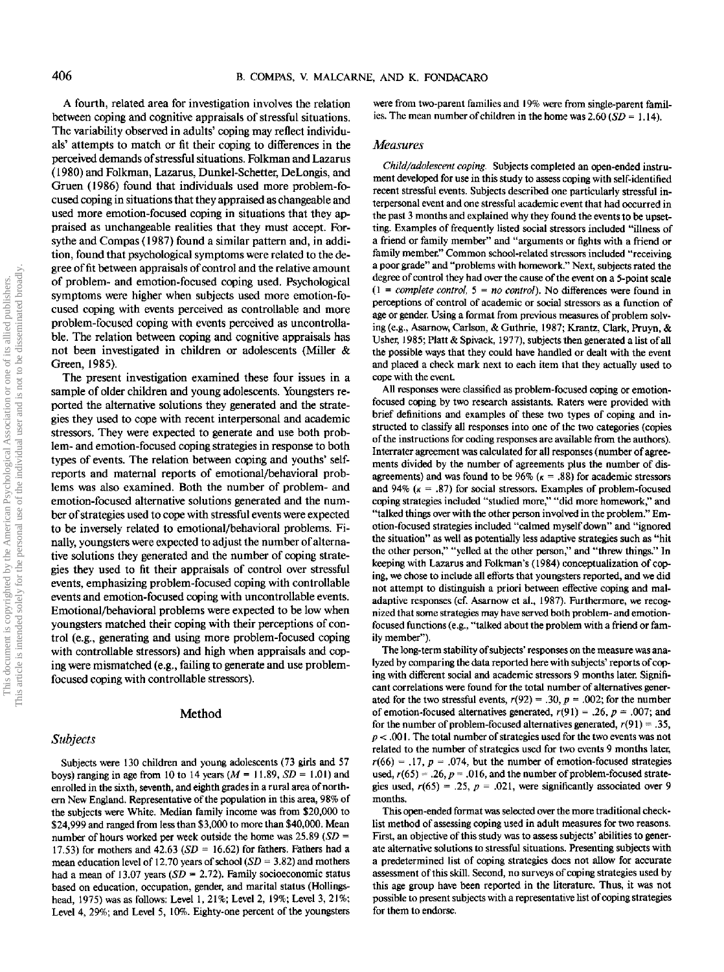A fourth, related area for investigation involves the relation between coping and cognitive appraisals of stressful situations. The variability observed in adults' coping may reflect individuals' attempts to match or fit their coping to differences in the perceived demands of stressful situations. Folkman and Lazarus (1980) and Folkman, Lazarus, Dunkel-Schetter, DeLongis. and Gruen (1986) found that individuals used more problem-focused coping in situations that they appraised as changeable and used more emotion-focused coping in situations that they appraised as unchangeable realities that they must accept. Forsythe and Compas (1987) found a similar pattern and, in addition, found that psychological symptoms were related to the degree of fit between appraisals of control and the relative amount of problem- and emotion-focused coping used. Psychological symptoms were higher when subjects used more emotion-focused coping with events perceived as controllable and more problem-focused coping with events perceived as uncontrollable. The relation between coping and cognitive appraisals has not been investigated in children or adolescents (Miller & Green, 1985).

The present investigation examined these four issues in a sample of older children and young adolescents. Youngsters reported the alternative solutions they generated and the strategies they used to cope with recent interpersonal and academic stressors. They were expected to generate and use both problem- and emotion-focused coping strategies in response to both types of events. The relation between coping and youths' selfreports and maternal reports of emotional/behavioral problems was also examined. Both the number of problem- and emotion-focused alternative solutions generated and the number of strategies used to cope with stressful events were expected to be inversely related to emotional/behavioral problems. Finally, youngsters were expected to adjust the number of alternative solutions they generated and the number of coping strategies they used to fit their appraisals of control over stressful events, emphasizing problem-focused coping with controllable events and emotion-focused coping with uncontrollable events. Emotional/behavioral problems were expected to be low when youngsters matched their coping with their perceptions of control (e.g., generating and using more problem-focused coping with controllable stressors) and high when appraisals and coping were mismatched (e.g., failing to generate and use problemfocused coping with controllable stressors).

#### Method

## *Subjects*

Subjects were 130 children and young adolescents (73 girls and 57 boys) ranging in age from 10 to 14 years  $(M = 11.89, SD = 1.01)$  and enrolled in the sixth, seventh, and eighth grades in a rural area of northern New England. Representative of the population in this area, 98% of the subjects were White. Median family income was from \$20,000 to \$24,999 and ranged from less than \$3,000 to more than \$40,000. Mean number of hours worked per week outside the home was 25.89 *(SD =* 17.53) for mothers and 42.63 *(SD =* 16.62) for fathers. Fathers had a mean education level of 12.70 years of school *(SD* = 3.82) and mothers had a mean of 13.07 years *(SD* = 2.72). Family socioeconomic status based on education, occupation, gender, and marital status (Hollingshead, 1975) was as follows: Level 1, 21%; Level 2, 19%; Level 3, 21%; Level 4, 29%; and Level 5, 10%. Eighty-one percent of the youngsters were from two-parent families and 19% were from single-parent families. The mean number of children in the home was 2.60 *(SD =* 1.14).

#### *Measures*

*Child/adolescent coping.* Subjects completed an open-ended instrument developed for use in this study to assess coping with self-identified recent stressful events. Subjects described one particularly stressful interpersonal event and one stressful academic event that had occurred in the past 3 months and explained why they found the events to be upsetting. Examples of frequently listed social stressors included "illness of a friend or family member" and "arguments or fights with a friend or family member." Common school-related stressors included "receiving a poor grade" and "problems with homework " Next, subjects rated the degree of control they had over the cause of the event on a 5-point scale  $(1 = complete control, 5 = no control)$ . No differences were found in perceptions of control of academic or social stressors as a function of age or gender. Using a format from previous measures of problem solving (e.g., Asarnow, Carlson, & Guthrie, 1987; Krantz, Clark, Pruyn, & Usher, 1985; Platt & Spivack, 1977), subjects then generated a list of all the possible ways that they could have handled or dealt with the event and placed a check mark next to each item that they actually used to cope with the event.

All responses were classified as problem-focused coping or emotionfocused coping by two research assistants. Raters were provided with brief definitions and examples of these two types of coping and instructed to classify all responses into one of the two categories (copies of the instructions for coding responses are available from the authors). Interrater agreement was calculated for all responses (number of agreements divided by the number of agreements plus the number of disagreements) and was found to be 96% ( $\kappa = .88$ ) for academic stressors and 94%  $(\kappa = .87)$  for social stressors. Examples of problem-focused coping strategies included "studied more," "did more homework," and "talked things over with the other person involved in the problem." Emotion-focused strategies included "calmed myself down" and "ignored the situation" as well as potentially less adaptive strategies such as "hit the other person," "yelled at the other person," and "threw things." In keeping with Lazarus and Folkman's (1984) conceptualization of coping, we chose to include all efforts that youngsters reported, and we did not attempt to distinguish a priori between effective coping and maladaptive responses (cf. Asarnow et al., 1987). Furthermore, we recognized that some strategies may have served both problem- and emotionfocused functions (e.g., "talked about the problem with a friend or family member").

The long-term stability of subjects' responses on the measure was analyzed by comparing the data reported here with subjects' reports of coping with different social and academic stressors 9 months later. Significant correlations were found for the total number of alternatives generated for the two stressful events,  $r(92) = .30$ ,  $p = .002$ ; for the number of emotion-focused alternatives generated,  $r(91) = .26$ ,  $p = .007$ ; and for the number of problem-focused alternatives generated,  $r(91) = .35$ , *p <* .001. The total number of strategies used for the two events was not related to the number of strategies used for two events 9 months later,  $r(66) = 0.17$ ,  $p = 0.074$ , but the number of emotion-focused strategies used,  $r(65) = .26$ ,  $p = .016$ , and the number of problem-focused strategies used,  $r(65) = .25$ ,  $p = .021$ , were significantly associated over 9 months.

This open-ended format was selected over the more traditional checklist method of assessing coping used in adult measures for two reasons. First, an objective of this study was to assess subjects' abilities to generate alternative solutions to stressful situations. Presenting subjects with a predetermined list of coping strategies does not allow for accurate assessment of this skill. Second, no surveys of coping strategies used by this age group have been reported in the literature. Thus, it was not possible to present subjects with a representative list of coping strategies for them to endorse.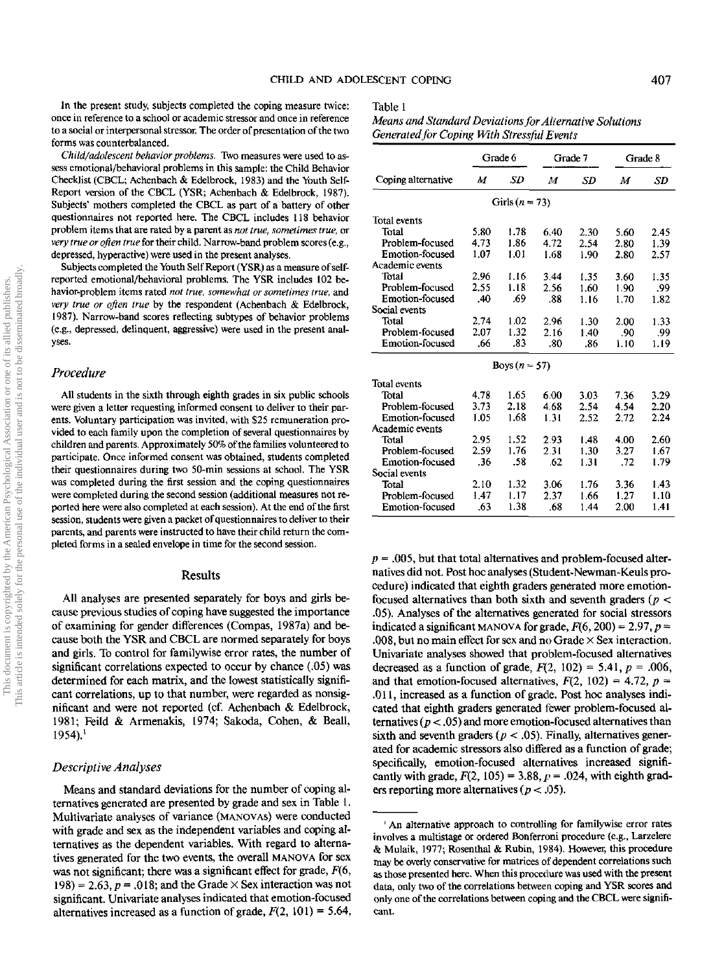In the present study, subjects completed the coping measure twice: once in reference to a school or academic stressor and once in reference to a social or interpersonal stressor. The order of presentation of the two forms was counterbalanced.

*Child/adolescent behavior problems.* Two measures were used to assess emotional/behavioral problems in this sample: the Child Behavior Checklist (CBCL; Achenbach & Edelbrock, 1983) and the Youth Self-Report version of the CBCL (YSR; Achenbach & Edelbrock, 1987). Subjects' mothers completed the CBCL as part of a battery of other questionnaires not reported here. The CBCL includes 118 behavior problem items that are rated by a parent as *not true, sometimes true,* or *very true or often true* for their child. Narrow-band problem scores (e.g., depressed, hyperactive) were used in the present analyses.

Subjects completed the Youth Self Report (YSR) as a measure of selfreported emotional/behavioral problems. The YSR includes 102 behavior-problem items rated *not true, somewhat or sometimes true,* and *very true or often true* by the respondent (Achenbach & Edelbrock, 1987). Narrow-band scores reflecting subtypes of behavior problems (e.g., depressed, delinquent, aggressive) were used in the present analyses.

### *Procedure*

All students in the sixth through eighth grades in six public schools were given a letter requesting informed consent to deliver to their parents. Voluntary participation was invited, with \$25 remuneration provided to each family upon the completion of several questionnaires by children and parents. Approximately 50% of the families volunteered to participate. Once informed consent was obtained, students completed their questionnaires during two 50-min sessions at school. The YSR was completed during the first session and the coping questionnaires were completed during the second session (additional measures not reported here were also completed at each session). At the end of the first session, students were given a packet of questionnaires to deliver to their parents, and parents were instructed to have their child return the completed forms in a sealed envelope in time for the second session.

#### Results

AH analyses are presented separately for boys and girls because previous studies of coping have suggested the importance of examining for gender differences (Compas, 1987a) and because both the YSR and CBCL are normed separately for boys and girls. To control for familywise error rates, the number of significant correlations expected to occur by chance (.05) was determined for each matrix, and the lowest statistically significant correlations, up to that number, were regarded as nonsignificant and were not reported (cf. Achenbach & Edelbrock, 1981; Feild & Armenakis, 1974; Sakoda, Cohen, & Beall,  $1954$ .<sup>1</sup>

### *Descriptive Analyses*

Means and standard deviations for the number of coping alternatives generated are presented by grade and sex in Table 1. Multivariate analyses of variance (MANOVAS) were conducted with grade and sex as the independent variables and coping alternatives as the dependent variables. With regard to alternatives generated for the two events, the overall MANOVA for sex was not significant; there was a significant effect for grade, *F(6,* 198) = 2.63,  $p = 0.018$ ; and the Grade  $\times$  Sex interaction was not significant. Univariate analyses indicated that emotion-focused alternatives increased as a function of grade,  $F(2, 101) = 5.64$ ,

### Table 1

*Means and Standard Deviations for Alternative Solutions Generated for Coping With Stressful Events*

|                        |      | Grade 6          | Grade 7 |      |      | Grade 8 |  |
|------------------------|------|------------------|---------|------|------|---------|--|
| Coping alternative     | М    | <b>SD</b>        | М       | SD   | Μ    | SD      |  |
|                        |      | Girls $(n = 73)$ |         |      |      |         |  |
| Total events           |      |                  |         |      |      |         |  |
| Total                  | 5.80 | 1.78             | 6.40    | 2.30 | 5.60 | 2.45    |  |
| Problem-focused        | 4.73 | 1.86             | 4.72    | 2.54 | 2.80 | 1.39    |  |
| <b>Emotion-focused</b> | 1.07 | 1.01             | 1.68    | 1.90 | 2.80 | 2.57    |  |
| Academic events        |      |                  |         |      |      |         |  |
| Total                  | 2.96 | 1.16             | 3.44    | 1.35 | 3.60 | 1.35    |  |
| Problem-focused        | 2.55 | 1.18             | 2.56    | 1.60 | 1.90 | .99     |  |
| <b>Emotion-focused</b> | .40  | .69              | .88     | 1.16 | 1.70 | 1.82    |  |
| Social events          |      |                  |         |      |      |         |  |
| Total                  | 2.74 | 1.02             | 2.96    | 1.30 | 2.00 | 1.33    |  |
| Problem-focused        | 2.07 | 1.32             | 2.16    | 1.40 | .90  | .99     |  |
| <b>Emotion-focused</b> | .66  | .83              | .80     | .86  | 1.10 | 1.19    |  |
|                        |      | Boys $(n = 57)$  |         |      |      |         |  |
| Total events           |      |                  |         |      |      |         |  |
| Total                  | 4.78 | 1.65             | 6.00    | 3.03 | 7.36 | 3.29    |  |
| Problem-focused        | 3.73 | 2.18             | 4.68    | 2.54 | 4.54 | 2.20    |  |
| <b>Emotion-focused</b> | 1.05 | 1.68             | 1.31    | 2.52 | 2.72 | 2.24    |  |
| Academic events        |      |                  |         |      |      |         |  |
| Total                  | 2.95 | 1.52             | 2.93    | 1.48 | 4.00 | 2.60    |  |
| Problem-focused        | 2.59 | 1.76             | 2.31    | 1.30 | 3.27 | 1.67    |  |
| Emotion-focused        | .36  | .58              | .62     | 1.31 | .72  | 1.79    |  |
| Social events          |      |                  |         |      |      |         |  |
| Total                  | 2.10 | 1.32             | 3.06    | 1.76 | 3.36 | 1.43    |  |
| Problem-focused        | 1.47 | 1.17             | 2.37    | 1.66 | 1.27 | 1.10    |  |
| Emotion-focused        | .63  | 1.38             | .68     | 1.44 | 2.00 | 1.41    |  |

 $p = .005$ , but that total alternatives and problem-focused alternatives did not. Post hoc analyses (Student-Newman-Keuls procedure) indicated that eighth graders generated more emotionfocused alternatives than both sixth and seventh graders *(p <* .05). Analyses of the alternatives generated for social stressors indicated a significant MANOVA for grade,  $F(6, 200) = 2.97$ ,  $p =$ .008, but no main effect for sex and no Grade  $\times$  Sex interaction. Univariate analyses showed that problem-focused alternatives decreased as a function of grade,  $F(2, 102) = 5.41$ ,  $p = .006$ , and that emotion-focused alternatives,  $F(2, 102) = 4.72$ ,  $p =$ .011, increased as a function of grade. Post hoc analyses indicated that eighth graders generated fewer problem-focused alternatives *(p <* .05) and more emotion-focused alternatives than sixth and seventh graders *(p <* .05). Finally, alternatives generated for academic stressors also differed as a function of grade; specifically, emotion-focused alternatives increased significantly with grade,  $F(2, 105) = 3.88$ ,  $p = .024$ , with eighth graders reporting more alternatives ( $p < .05$ ).

<sup>1</sup> An alternative approach to controlling for familywise error rates involves a multistage or ordered Bonferroni procedure (e.g., Larzelere & Mulaik, 1977; Rosenthal & Rubin, 1984). However, this procedure may be overly conservative for matrices of dependent correlations such as those presented here. When this procedure was used with the present data, only two of the correlations between coping and YSR scores and only one of the correlations between coping and the CBCL were significant.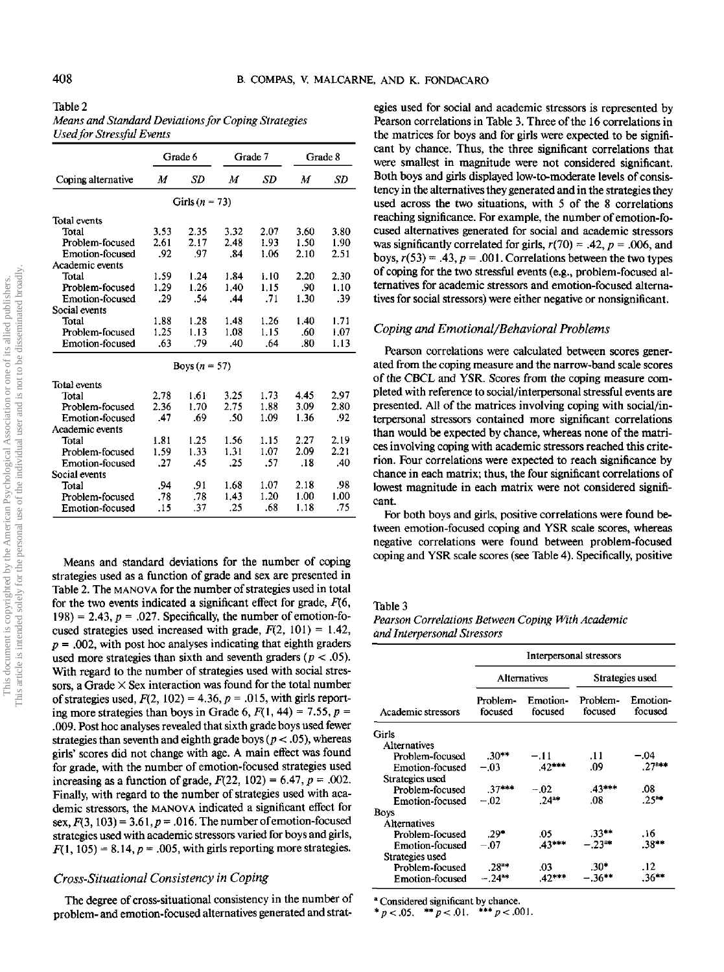| Table 2                                             |  |
|-----------------------------------------------------|--|
| Means and Standard Deviations for Coping Strategies |  |
| Used for Stressful Events                           |  |

|                        |      | Grade 6          | Grade 7 |      |      | Grade 8 |  |
|------------------------|------|------------------|---------|------|------|---------|--|
| Coping alternative     | М    | SD               | М       | SD   | М    | SD      |  |
|                        |      | Girls $(n = 73)$ |         |      |      |         |  |
| Total events           |      |                  |         |      |      |         |  |
| Total                  | 3.53 | 2.35             | 3.32    | 2.07 | 3.60 | 3.80    |  |
| Problem-focused        | 2.61 | 2.17             | 2.48    | 1.93 | 1.50 | 1.90    |  |
| Emotion-focused        | .92  | .97              | .84     | 1.06 | 2.10 | 2.51    |  |
| Academic events        |      |                  |         |      |      |         |  |
| Total                  | 1.59 | 1.24             | 1.84    | 1.10 | 2.20 | 2.30    |  |
| Problem-focused        | 1.29 | 1.26             | 1.40    | 1.15 | .90  | 1.10    |  |
| Emotion-focused        | .29  | .54              | .44     | .71  | 1.30 | .39     |  |
| Social events          |      |                  |         |      |      |         |  |
| Total                  | 1.88 | 1.28             | 1.48    | 1.26 | 1.40 | 1.71    |  |
| Problem-focused        | 1.25 | 1.13             | 1.08    | 1.15 | .60  | 1.07    |  |
| Emotion-focused        | .63  | .79              | .40     | .64  | .80  | 1.13    |  |
|                        |      | Boys $(n = 57)$  |         |      |      |         |  |
| Total events           |      |                  |         |      |      |         |  |
| Total                  | 2.78 | 1.61             | 3.25    | 1.73 | 4.45 | 2.97    |  |
| Problem-focused        | 2.36 | 1.70             | 2.75    | 1.88 | 3.09 | 2.80    |  |
| <b>Emotion-focused</b> | .47  | .69              | .50     | 1.09 | 1.36 | .92     |  |
| Academic events        |      |                  |         |      |      |         |  |
| Total                  | 1.81 | 1.25             | 1.56    | 1.15 | 2.27 | 2.19    |  |
| Problem-focused        | 1.59 | 1.33             | 1.31    | 1.07 | 2.09 | 2.21    |  |
| <b>Emotion-focused</b> | .27  | .45              | .25     | .57  | .18  | .40     |  |
| Social events          |      |                  |         |      |      |         |  |
| Total                  | .94  | .91              | 1.68    | 1.07 | 2.18 | .98     |  |
| Problem-focused        | .78  | .78              | 1.43    | 1.20 | 1.00 | 1.00    |  |
| Emotion-focused        | .15  | .37              | .25     | .68  | 1.18 | .75     |  |

Means and standard deviations for the number of coping strategies used as a function of grade and sex are presented in Table 2. The MANOVA for the number of strategies used in total for the two events indicated a significant effect for grade, *F(6,* 198) = 2.43,  $p = 0.027$ . Specifically, the number of emotion-focused strategies used increased with grade,  $F(2, 101) = 1.42$ , *p =* .002, with post hoc analyses indicating that eighth graders used more strategies than sixth and seventh graders *(p <* .05). With regard to the number of strategies used with social stressors, a Grade  $\times$  Sex interaction was found for the total number of strategies used,  $F(2, 102) = 4.36$ ,  $p = .015$ , with girls reporting more strategies than boys in Grade 6,  $F(1, 44) = 7.55$ ,  $p =$ .009. Post hoc analyses revealed that sixth grade boys used fewer strategies than seventh and eighth grade boys ( $p < .05$ ), whereas girls' scores did not change with age. A main effect was found for grade, with the number of emotion-focused strategies used increasing as a function of grade,  $F(22, 102) = 6.47, p = .002$ . Finally, with regard to the number of strategies used with academic stressors, the MANOVA indicated a significant effect for sex,  $F(3, 103) = 3.61$ ,  $p = .016$ . The number of emotion-focused strategies used with academic stressors varied for boys and girls,  $F(1, 105) = 8.14$ ,  $p = .005$ , with girls reporting more strategies.

# *Cross-Situational Consistency in Coping*

The degree of cross-situational consistency in the number of problem- and emotion-focused alternatives generated and strategies used for social and academic stressors is represented by Pearson correlations in Table 3. Three of the 16 correlations in the matrices for boys and for girls were expected to be significant by chance. Thus, the three significant correlations that were smallest in magnitude were not considered significant. Both boys and girls displayed low-to-moderate levels of consistency in the alternatives they generated and in the strategies they used across the two situations, with 5 of the 8 correlations reaching significance. For example, the number of emotion-focused alternatives generated for social and academic stressors was significantly correlated for girls,  $r(70) = .42$ ,  $p = .006$ , and boys,  $r(53) = .43$ ,  $p = .001$ . Correlations between the two types of coping for the two stressful events (e.g., problem-focused alternatives for academic stressors and emotion-focused alternatives for social stressors) were either negative or nonsignificant.

### *Coping and Emotional/Behavioral Problems*

Pearson correlations were calculated between scores generated from the coping measure and the narrow-band scale scores of the CBCL and YSR. Scores from the coping measure completed with reference to social/interpersonal stressful events are presented. All of the matrices involving coping with social/interpersonal stressors contained more significant correlations than would be expected by chance, whereas none of the matrices involving coping with academic stressors reached this criterion. Four correlations were expected to reach significance by chance in each matrix; thus, the four significant correlations of lowest magnitude in each matrix were not considered significant.

For both boys and girls, positive correlations were found between emotion-focused coping and YSR scale scores, whereas negative correlations were found between problem-focused coping and YSR scale scores (see Table 4). Specifically, positive

#### Table 3

*Pearson Correlations Between Coping With Academic and Interpersonal Stressors*

|                    | Interpersonal stressors |                            |                      |                     |  |
|--------------------|-------------------------|----------------------------|----------------------|---------------------|--|
|                    | <b>Alternatives</b>     |                            | Strategies used      |                     |  |
| Academic stressors | Problem-<br>focused     | <b>Emotion-</b><br>focused | Problem-<br>focused  | Emotion-<br>focused |  |
| Girls              |                         |                            |                      |                     |  |
| Alternatives       |                         |                            |                      |                     |  |
| Problem-focused    | $.30**$                 | $-.11$                     | .11                  | $-.04$              |  |
| Emotion-focused    | $-.03$                  | $.42***$                   | .09                  | $.27***$            |  |
| Strategies used    |                         |                            |                      |                     |  |
| Problem-focused    | $.37***$                | $-.02$                     | $.43***$             | .08                 |  |
| Emotion-focused    | $-.02$                  | $.24***$                   | .08                  | $.25***$            |  |
| <b>Boys</b>        |                         |                            |                      |                     |  |
| Alternatives       |                         |                            |                      |                     |  |
| Problem-focused    | $.29*$                  | .05                        | $.33***$             | .16                 |  |
| Emotion-focused    | $-.07$                  | $.43***$                   | $-.23$ <sup>a*</sup> | .38**               |  |
| Strategies used    |                         |                            |                      |                     |  |
| Problem-focused    | $.28***$                | .03                        | $.30*$               | . 12                |  |
| Emotion-focused    | $-.24$ <sup>a*</sup>    | $.42***$                   | $-.36***$            | .36**               |  |

<sup>a</sup> Considered significant by chance.

\*  $p < .05$ . \*\*  $p < .01$ . \*\*\*  $p < .001$ .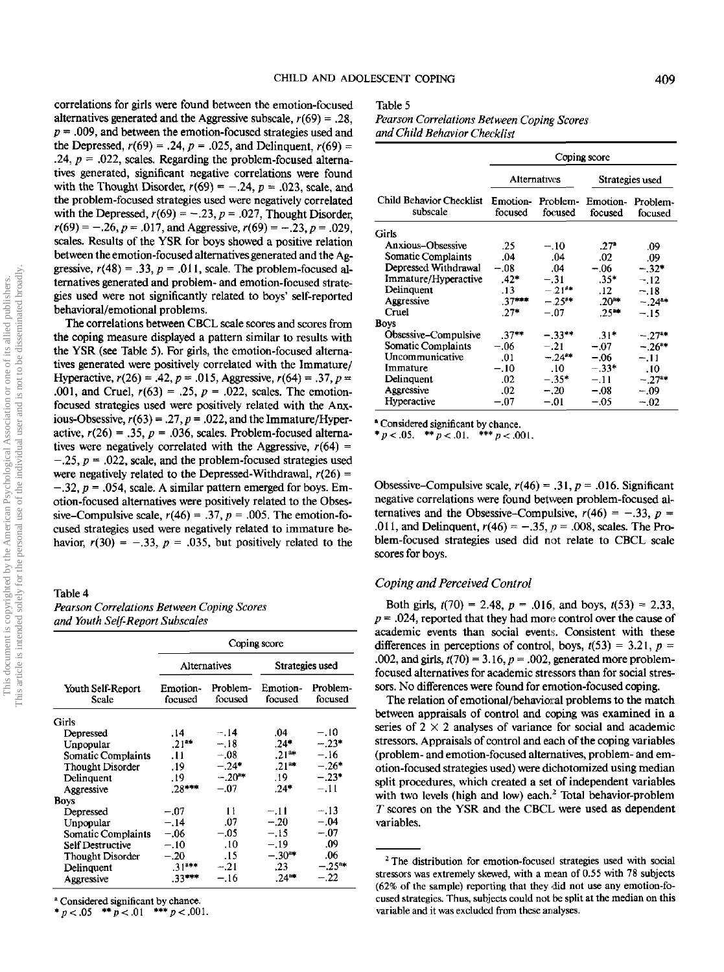correlations for girls were found between the emotion-focused alternatives generated and the Aggressive subscale, *r(69) =* .28, *p =* .009, and between the emotion-focused strategies used and the Depressed,  $r(69) = .24$ ,  $p = .025$ , and Delinquent,  $r(69) =$ .24,  $p = .022$ , scales. Regarding the problem-focused alternatives generated, significant negative correlations were found with the Thought Disorder,  $r(69) = -.24$ ,  $p = .023$ , scale, and the problem-focused strategies used were negatively correlated with the Depressed,  $r(69) = -.23$ ,  $p = .027$ , Thought Disorder,  $r(69) = -.26, p = .017,$  and Aggressive,  $r(69) = -.23, p = .029,$ scales. Results of the YSR for boys showed a positive relation between the emotion-focused alternatives generated and the Aggressive,  $r(48) = .33$ ,  $p = .011$ , scale. The problem-focused alternatives generated and problem- and emotion-focused strategies used were not significantly related to boys' self-reported behavioral/emotional problems.

The correlations between CBCL scale scores and scores from the coping measure displayed a pattern similar to results with the YSR (see Table 5). For girls, the emotion-focused alternatives generated were positively correlated with the Immature/ Hyperactive,  $r(26) = .42$ ,  $p = .015$ , Aggressive,  $r(64) = .37$ ,  $p =$ .001, and Cruel,  $r(63) = .25$ ,  $p = .022$ , scales. The emotionfocused strategies used were positively related with the Anxious-Obsessive,  $r(63) = .27$ ,  $p = .022$ , and the Immature/Hyperactive,  $r(26) = .35$ ,  $p = .036$ , scales. Problem-focused alternatives were negatively correlated with the Aggressive,  $r(64)$  =  $-.25, p = .022$ , scale, and the problem-focused strategies used were negatively related to the Depressed-Withdrawal, *r(26) =* -.32, *p =* .054, scale. A similar pattern emerged for boys. Emotion-focused alternatives were positively related to the Obsessive–Compulsive scale,  $r(46) = .37$ ,  $p = .005$ . The emotion-focused strategies used were negatively related to immature behavior,  $r(30) = -.33$ ,  $p = .035$ , but positively related to the

| Table 4                                           |
|---------------------------------------------------|
| <b>Pearson Correlations Between Coping Scores</b> |
| and Youth Self-Report Subscales                   |

|                            | Coping score        |                     |                     |                      |  |
|----------------------------|---------------------|---------------------|---------------------|----------------------|--|
|                            | Alternatives        |                     | Strategies used     |                      |  |
| Youth Self-Report<br>Scale | Emotion-<br>focused | Problem-<br>focused | Emotion-<br>focused | Problem-<br>focused  |  |
| Girls                      |                     |                     |                     |                      |  |
| Depressed                  | . 14                | $-.14$              | .04                 | $-.10$               |  |
| Unpopular                  | $.21***$            | $-.18$              | $.24*$              | $-.23*$              |  |
| Somatic Complaints         | .11                 | $-.08$              | .21 <sup>an#</sup>  | $-.16$               |  |
| Thought Disorder           | .19                 | $-.24*$             | $.21***$            | $-.26*$              |  |
| Delinquent                 | . 19                | $-.20^{a*}$         | .19                 | $-.23*$              |  |
| Aggressive                 | $.28***$            | $-.07$              | $.24*$              | $-.11$               |  |
| <b>Boys</b>                |                     |                     |                     |                      |  |
| Depressed                  | $-.07$              | 11                  | $-.11$              | $-.13$               |  |
| Unpopular                  | $-.14$              | .07                 | $-.20$              | $-.04$               |  |
| Somatic Complaints         | $-.06$              | $-.05$              | $-.15$              | $-.07$               |  |
| <b>Self Destructive</b>    | $-.10$              | .10                 | $-.19$              | .09                  |  |
| Thought Disorder           | $-.20$              | .15                 | $-.30^{a*}$         | .06                  |  |
| Delinquent                 | $.31^{a**}$         | $-.21$              | .23                 | $-.25$ <sup>a*</sup> |  |
| Aggressive                 | $.33***$            | $-.16$              | $.24***$            | $-.22$               |  |

<sup>a</sup> Considered significant by chance.

\*  $p < .05$  \*\*  $p < .01$  \*\*\*  $p < .001$ .

### Table 5

| Pearson Correlations Between Coping Scores |  |  |
|--------------------------------------------|--|--|
| and Child Behavior Checklist               |  |  |

|                                      | Coping score        |                     |                     |                      |  |
|--------------------------------------|---------------------|---------------------|---------------------|----------------------|--|
|                                      | <b>Alternatives</b> |                     | Strategies used     |                      |  |
| Child Behavior Checklist<br>subscale | Emotion-<br>focused | Problem-<br>focused | Emotion-<br>focused | Problem-<br>focused  |  |
| Girls                                |                     |                     |                     |                      |  |
| Anxious-Obsessive                    | .25                 | $-.10$              | $.27^{\circ}$       | .09                  |  |
| Somatic Complaints                   | .04                 | .04                 | .02                 | .09                  |  |
| Depressed Withdrawal                 | $-.08$              | .04                 | -.06                | $-32*$               |  |
| Immature/Hyperactive                 | .42*                | $-.31$              | $.35*$              | $-.12$               |  |
| Delinquent                           | .13                 | $-21^{**}$          | .12                 | $-.18$               |  |
| Aggressive                           | $.37***$            | $-25$ <sup>**</sup> | $.20^{**}$          | $-.24$ <sup>a*</sup> |  |
| Cruel                                | $.27*$              | $-.07$              | $.25^{**}$          | $-.15$               |  |
| <b>Boys</b>                          |                     |                     |                     |                      |  |
| Obsessive–Compulsive                 | $.37**$             | $-.33**$            | $.31*$              | $-.27$ <sup>a*</sup> |  |
| Somatic Complaints                   | $-.06$              | $-.21$              | $-.07$              | $-.26**$             |  |
| Uncommunicative                      | .01                 | $-24$ <sup>4+</sup> | $-06$               | $-.11$               |  |
| Immature                             | $-.10$              | .10                 | $-.33*$             | .10                  |  |
| Delinquent                           | .02                 | $-.35*$             | $-.11$              | $-27$ <sup>a*</sup>  |  |
| Aggressive                           | .02                 | $-.20$              | $-.08$              | $-.09$               |  |
| Hyperactive                          | $-.07$              | $-.01$              | $-.05$              | $-.02$               |  |

<sup>a</sup> Considered significant by chance.

\*  $p < .05$ . \*\*  $p < .01$ . \*\*\*  $p < .001$ .

Obsessive-Compulsive scale,  $r(46) = .31$ ,  $p = .016$ . Significant negative correlations were found between problem-focused alternatives and the Obsessive-Compulsive,  $r(46) = -.33$ ,  $p =$ .011, and Delinquent,  $r(46) = -.35$ ,  $p = .008$ , scales. The Problem-focused strategies used did not relate to CBCL scale scores for boys.

### *Coping and Perceived Control*

Both girls,  $t(70) = 2.48$ ,  $p = .016$ , and boys,  $t(53) = 2.33$ , *p =* .024, reported that they had more control over the cause of academic events than social events. Consistent with these differences in perceptions of control, boys,  $t(53) = 3.21$ ,  $p =$ .002, and girls,  $t(70) = 3.16$ ,  $p = .002$ , generated more problemfocused alternatives for academic stressors than for social stressors. No differences were found for emotion-focused coping.

The relation of emotional/behavioral problems to the match between appraisals of control and coping was examined in a series of  $2 \times 2$  analyses of variance for social and academic stressors. Appraisals of control and each of the coping variables (problem- and emotion-focused alternatives, problem- and emotion-focused strategies used) were dichotomized using median split procedures, which created a set of independent variables with two levels (high and low) each.<sup>2</sup> Total behavior-problem *T* scores on the YSR and the CBCL were used as dependent variables.

<sup>&</sup>lt;sup>2</sup> The distribution for emotion-focused strategies used with social stressors was extremely skewed, with a mean of 0.55 with 78 subjects (62% of the sample) reporting that they did not use any emotion-focused strategies. Thus, subjects could not be split at the median on this variable and it was excluded from these analyses.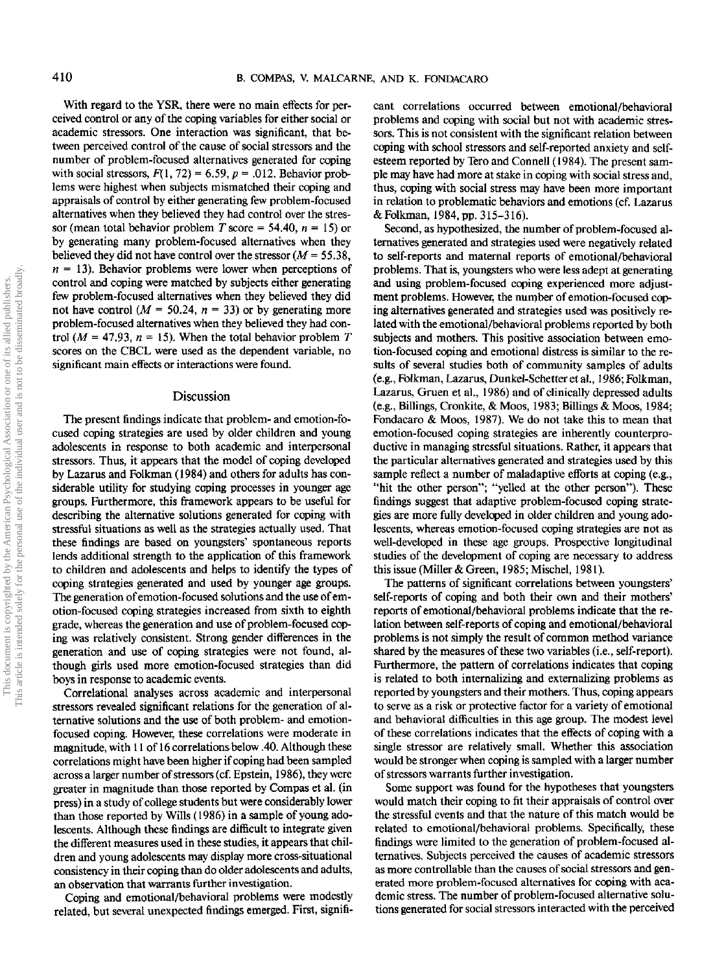With regard to the YSR, there were no main effects for perceived control or any of the coping variables for either social or academic stressors. One interaction was significant, that between perceived control of the cause of social stressors and the number of problem-focused alternatives generated for coping with social stressors,  $F(1, 72) = 6.59$ ,  $p = .012$ . Behavior problems were highest when subjects mismatched their coping and appraisals of control by either generating few problem-focused alternatives when they believed they had control over the stressor (mean total behavior problem *T* score = 54.40, *n=* 15) or by generating many problem-focused alternatives when they believed they did not have control over the stressor *(M =* 55.38, *n =* 13). Behavior problems were lower when perceptions of control and coping were matched by subjects either generating few problem-focused alternatives when they believed they did not have control  $(M = 50.24, n = 33)$  or by generating more problem-focused alternatives when they believed they had control ( $M = 47.93$ ,  $n = 15$ ). When the total behavior problem *T* scores on the CBCL were used as the dependent variable, no significant main effects or interactions were found.

### Discussion

The present findings indicate that problem- and emotion-focused coping strategies are used by older children and young adolescents in response to both academic and interpersonal stressors. Thus, it appears that the model of coping developed by Lazarus and Folkman (1984) and others for adults has considerable utility for studying coping processes in younger age groups. Furthermore, this framework appears to be useful for describing the alternative solutions generated for coping with stressful situations as well as the strategies actually used. That these findings are based on youngsters' spontaneous reports lends additional strength to the application of this framework to children and adolescents and helps to identify the types of coping strategies generated and used by younger age groups. The generation of emotion-focused solutions and the use of emotion-focused coping strategies increased from sixth to eighth grade, whereas the generation and use of problem-focused coping was relatively consistent. Strong gender differences in the generation and use of coping strategies were not found, although girls used more emotion-focused strategies than did boys in response to academic events.

Correlational analyses across academic and interpersonal stressors revealed significant relations for the generation of alternative solutions and the use of both problem- and emotionfocused coping. However, these correlations were moderate in magnitude, with 11 of 16 correlations below .40. Although these correlations might have been higher if coping had been sampled across a larger number of stressors (cf. Epstein, 1986), they were greater in magnitude than those reported by Compas et al. (in press) in a study of college students but were considerably lower than those reported by Wills (1986) in a sample of young adolescents. Although these findings are difficult to integrate given the different measures used in these studies, it appears that children and young adolescents may display more cross-situational consistency in their coping than do older adolescents and adults, an observation that warrants further investigation.

Coping and emotional/behavioral problems were modestly related, but several unexpected findings emerged. First, signifi-

cant correlations occurred between emotional/behavioral problems and coping with social but not with academic stressors. This is not consistent with the significant relation between coping with school stressors and self-reported anxiety and selfesteem reported by Tero and Connell (1984). The present sample may have had more at stake in coping with social stress and, thus, coping with social stress may have been more important in relation to problematic behaviors and emotions (cf. Lazarus &Folkman, 1984,pp. 315-316).

Second, as hypothesized, the number of problem-focused alternatives generated and strategies used were negatively related to self-reports and maternal reports of emotional/behavioral problems. That is, youngsters who were less adept at generating and using problem-focused coping experienced more adjustment problems. However, the number of emotion-focused coping alternatives generated and strategies used was positively related with the emotional/behavioral problems reported by both subjects and mothers. This positive association between emotion-focused coping and emotional distress is similar to the results of several studies both of community samples of adults (e.g., Folkman, Lazarus, Dunkel-Schetter et al., 1986; Folkman, Lazarus, Gruen et al., 1986) and of clinically depressed adults (e.g., Billings, Cronkite, & Moos, 1983; Billings & Moos, 1984; Fondacaro & Moos, 1987). We do not take this to mean that emotion-focused coping strategies are inherently counterproductive in managing stressful situations. Rather, it appears that the particular alternatives generated and strategies used by this sample reflect a number of maladaptive efforts at coping (e.g., "hit the other person"; "yelled at the other person"). These findings suggest that adaptive problem-focused coping strategies are more fully developed in older children and young adolescents, whereas emotion-focused coping strategies are not as well-developed in these age groups. Prospective longitudinal studies of the development of coping are necessary to address this issue (Miller & Green, 1985; Mischel, 1981).

The patterns of significant correlations between youngsters' self-reports of coping and both their own and their mothers' reports of emotional/behavioral problems indicate that the relation between self-reports of coping and emotional/behavioral problems is not simply the result of common method variance shared by the measures of these two variables (i.e., self-report). Furthermore, the pattern of correlations indicates that coping is related to both internalizing and externalizing problems as reported by youngsters and their mothers. Thus, coping appears to serve as a risk or protective factor for a variety of emotional and behavioral difficulties in this age group. The modest level of these correlations indicates that the effects of coping with a single stressor are relatively small. Whether this association would be stronger when coping is sampled with a larger number of stressors warrants further investigation.

Some support was found for the hypotheses that youngsters would match their coping to fit their appraisals of control over the stressful events and that the nature of this match would be related to emotional/behavioral problems. Specifically, these findings were limited to the generation of problem-focused alternatives. Subjects perceived the causes of academic stressors as more controllable than the causes of social stressors and generated more problem-focused alternatives for coping with academic stress. The number of problem-focused alternative solutions generated for social stressors interacted with the perceived